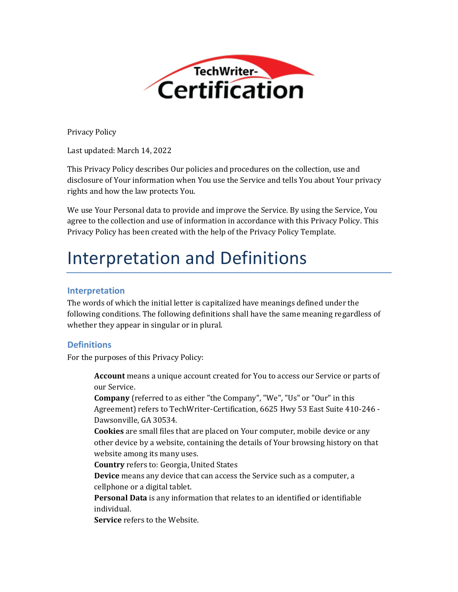

Privacy Policy

Last updated: March 14, 2022

This Privacy Policy describes Our policies and procedures on the collection, use and disclosure of Your information when You use the Service and tells You about Your privacy rights and how the law protects You.

We use Your Personal data to provide and improve the Service. By using the Service, You agree to the collection and use of information in accordance with this Privacy Policy. This Privacy Policy has been created with the help of th[e Privacy Policy Template.](https://www.freeprivacypolicy.com/blog/sample-privacy-policy-template/)

# Interpretation and Definitions

# **Interpretation**

The words of which the initial letter is capitalized have meanings defined under the following conditions. The following definitions shall have the same meaning regardless of whether they appear in singular or in plural.

# **Definitions**

For the purposes of this Privacy Policy:

**Account** means a unique account created for You to access our Service or parts of our Service.

**Company** (referred to as either "the Company", "We", "Us" or "Our" in this Agreement) refers to TechWriter-Certification, 6625 Hwy 53 East Suite 410-246 - Dawsonville, GA 30534.

**Cookies** are small files that are placed on Your computer, mobile device or any other device by a website, containing the details of Your browsing history on that website among its many uses.

**Country** refers to: Georgia, United States

**Device** means any device that can access the Service such as a computer, a cellphone or a digital tablet.

**Personal Data** is any information that relates to an identified or identifiable individual.

**Service** refers to the Website.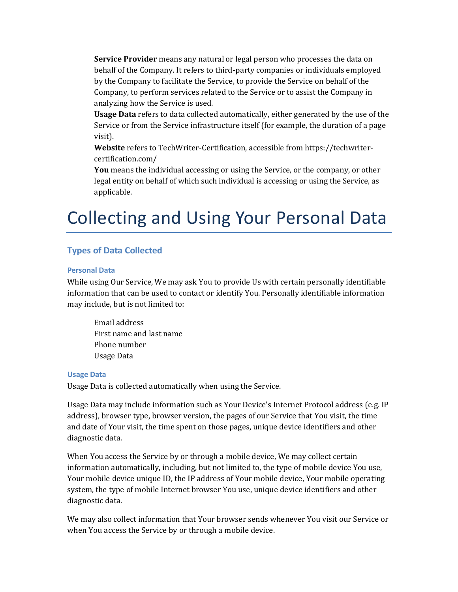**Service Provider** means any natural or legal person who processes the data on behalf of the Company. It refers to third-party companies or individuals employed by the Company to facilitate the Service, to provide the Service on behalf of the Company, to perform services related to the Service or to assist the Company in analyzing how the Service is used.

**Usage Data** refers to data collected automatically, either generated by the use of the Service or from the Service infrastructure itself (for example, the duration of a page visit).

**Website** refers to TechWriter-Certification, accessible from [https://techwriter](https://techwriter-certification.com/)[certification.com/](https://techwriter-certification.com/)

**You** means the individual accessing or using the Service, or the company, or other legal entity on behalf of which such individual is accessing or using the Service, as applicable.

# Collecting and Using Your Personal Data

## **Types of Data Collected**

### **Personal Data**

While using Our Service, We may ask You to provide Us with certain personally identifiable information that can be used to contact or identify You. Personally identifiable information may include, but is not limited to:

Email address First name and last name Phone number Usage Data

### **Usage Data**

Usage Data is collected automatically when using the Service.

Usage Data may include information such as Your Device's Internet Protocol address (e.g. IP address), browser type, browser version, the pages of our Service that You visit, the time and date of Your visit, the time spent on those pages, unique device identifiers and other diagnostic data.

When You access the Service by or through a mobile device, We may collect certain information automatically, including, but not limited to, the type of mobile device You use, Your mobile device unique ID, the IP address of Your mobile device, Your mobile operating system, the type of mobile Internet browser You use, unique device identifiers and other diagnostic data.

We may also collect information that Your browser sends whenever You visit our Service or when You access the Service by or through a mobile device.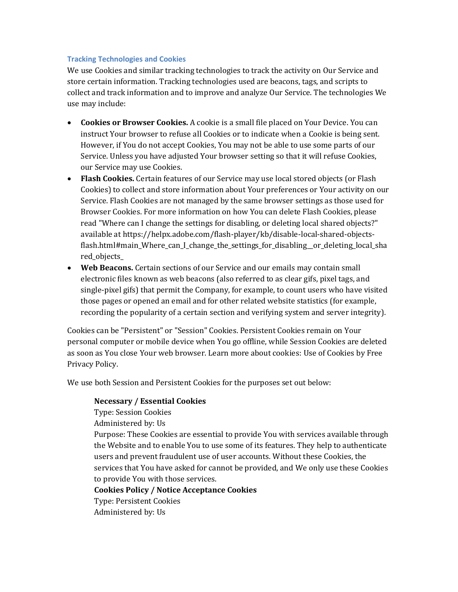### **Tracking Technologies and Cookies**

We use Cookies and similar tracking technologies to track the activity on Our Service and store certain information. Tracking technologies used are beacons, tags, and scripts to collect and track information and to improve and analyze Our Service. The technologies We use may include:

- **Cookies or Browser Cookies.** A cookie is a small file placed on Your Device. You can instruct Your browser to refuse all Cookies or to indicate when a Cookie is being sent. However, if You do not accept Cookies, You may not be able to use some parts of our Service. Unless you have adjusted Your browser setting so that it will refuse Cookies, our Service may use Cookies.
- **Flash Cookies.** Certain features of our Service may use local stored objects (or Flash Cookies) to collect and store information about Your preferences or Your activity on our Service. Flash Cookies are not managed by the same browser settings as those used for Browser Cookies. For more information on how You can delete Flash Cookies, please read "Where can I change the settings for disabling, or deleting local shared objects?" available at [https://helpx.adobe.com/flash-player/kb/disable-local-shared-objects](https://helpx.adobe.com/flash-player/kb/disable-local-shared-objects-flash.html#main_Where_can_I_change_the_settings_for_disabling__or_deleting_local_shared_objects_)[flash.html#main\\_Where\\_can\\_I\\_change\\_the\\_settings\\_for\\_disabling\\_\\_or\\_deleting\\_local\\_sha](https://helpx.adobe.com/flash-player/kb/disable-local-shared-objects-flash.html#main_Where_can_I_change_the_settings_for_disabling__or_deleting_local_shared_objects_) [red\\_objects\\_](https://helpx.adobe.com/flash-player/kb/disable-local-shared-objects-flash.html#main_Where_can_I_change_the_settings_for_disabling__or_deleting_local_shared_objects_)
- **Web Beacons.** Certain sections of our Service and our emails may contain small electronic files known as web beacons (also referred to as clear gifs, pixel tags, and single-pixel gifs) that permit the Company, for example, to count users who have visited those pages or opened an email and for other related website statistics (for example, recording the popularity of a certain section and verifying system and server integrity).

Cookies can be "Persistent" or "Session" Cookies. Persistent Cookies remain on Your personal computer or mobile device when You go offline, while Session Cookies are deleted as soon as You close Your web browser. Learn more about cookies: [Use of Cookies by Free](https://www.freeprivacypolicy.com/blog/sample-privacy-policy-template/#Use_Of_Cookies_And_Tracking)  [Privacy Policy.](https://www.freeprivacypolicy.com/blog/sample-privacy-policy-template/#Use_Of_Cookies_And_Tracking)

We use both Session and Persistent Cookies for the purposes set out below:

### **Necessary / Essential Cookies**

Type: Session Cookies

Administered by: Us

Purpose: These Cookies are essential to provide You with services available through the Website and to enable You to use some of its features. They help to authenticate users and prevent fraudulent use of user accounts. Without these Cookies, the services that You have asked for cannot be provided, and We only use these Cookies to provide You with those services.

**Cookies Policy / Notice Acceptance Cookies**

Type: Persistent Cookies Administered by: Us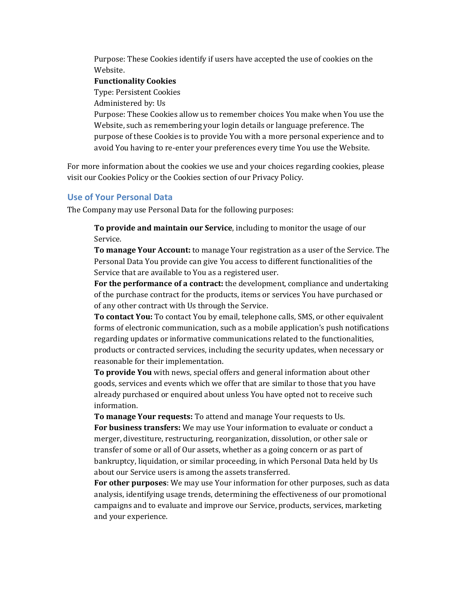Purpose: These Cookies identify if users have accepted the use of cookies on the Website.

### **Functionality Cookies**

Type: Persistent Cookies

Administered by: Us

Purpose: These Cookies allow us to remember choices You make when You use the Website, such as remembering your login details or language preference. The purpose of these Cookies is to provide You with a more personal experience and to avoid You having to re-enter your preferences every time You use the Website.

For more information about the cookies we use and your choices regarding cookies, please visit our Cookies Policy or the Cookies section of our Privacy Policy.

## **Use of Your Personal Data**

The Company may use Personal Data for the following purposes:

**To provide and maintain our Service**, including to monitor the usage of our Service.

**To manage Your Account:** to manage Your registration as a user of the Service. The Personal Data You provide can give You access to different functionalities of the Service that are available to You as a registered user.

**For the performance of a contract:** the development, compliance and undertaking of the purchase contract for the products, items or services You have purchased or of any other contract with Us through the Service.

**To contact You:** To contact You by email, telephone calls, SMS, or other equivalent forms of electronic communication, such as a mobile application's push notifications regarding updates or informative communications related to the functionalities, products or contracted services, including the security updates, when necessary or reasonable for their implementation.

**To provide You** with news, special offers and general information about other goods, services and events which we offer that are similar to those that you have already purchased or enquired about unless You have opted not to receive such information.

**To manage Your requests:** To attend and manage Your requests to Us. **For business transfers:** We may use Your information to evaluate or conduct a merger, divestiture, restructuring, reorganization, dissolution, or other sale or transfer of some or all of Our assets, whether as a going concern or as part of bankruptcy, liquidation, or similar proceeding, in which Personal Data held by Us about our Service users is among the assets transferred.

**For other purposes**: We may use Your information for other purposes, such as data analysis, identifying usage trends, determining the effectiveness of our promotional campaigns and to evaluate and improve our Service, products, services, marketing and your experience.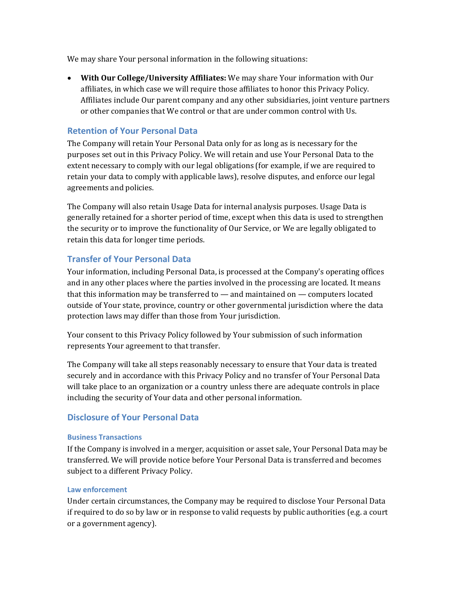We may share Your personal information in the following situations:

• **With Our College/University Affiliates:** We may share Your information with Our affiliates, in which case we will require those affiliates to honor this Privacy Policy. Affiliates include Our parent company and any other subsidiaries, joint venture partners or other companies that We control or that are under common control with Us.

## **Retention of Your Personal Data**

The Company will retain Your Personal Data only for as long as is necessary for the purposes set out in this Privacy Policy. We will retain and use Your Personal Data to the extent necessary to comply with our legal obligations (for example, if we are required to retain your data to comply with applicable laws), resolve disputes, and enforce our legal agreements and policies.

The Company will also retain Usage Data for internal analysis purposes. Usage Data is generally retained for a shorter period of time, except when this data is used to strengthen the security or to improve the functionality of Our Service, or We are legally obligated to retain this data for longer time periods.

## **Transfer of Your Personal Data**

Your information, including Personal Data, is processed at the Company's operating offices and in any other places where the parties involved in the processing are located. It means that this information may be transferred to — and maintained on — computers located outside of Your state, province, country or other governmental jurisdiction where the data protection laws may differ than those from Your jurisdiction.

Your consent to this Privacy Policy followed by Your submission of such information represents Your agreement to that transfer.

The Company will take all steps reasonably necessary to ensure that Your data is treated securely and in accordance with this Privacy Policy and no transfer of Your Personal Data will take place to an organization or a country unless there are adequate controls in place including the security of Your data and other personal information.

## **Disclosure of Your Personal Data**

### **Business Transactions**

If the Company is involved in a merger, acquisition or asset sale, Your Personal Data may be transferred. We will provide notice before Your Personal Data is transferred and becomes subject to a different Privacy Policy.

## **Law enforcement**

Under certain circumstances, the Company may be required to disclose Your Personal Data if required to do so by law or in response to valid requests by public authorities (e.g. a court or a government agency).